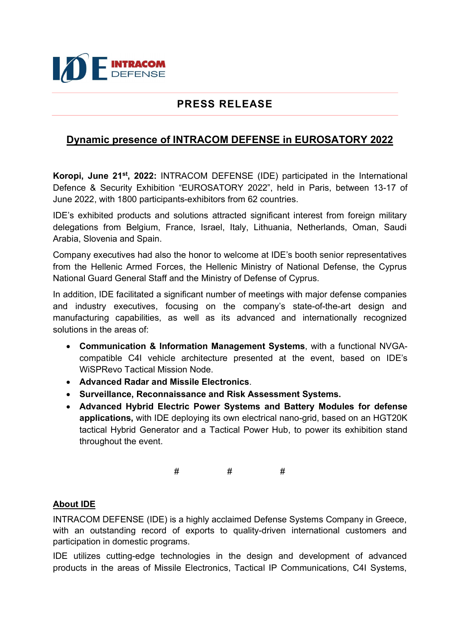

## PRESS RELEASE

## Dynamic presence of INTRACOM DEFENSE in EUROSATORY 2022

Koropi, June 21<sup>st</sup>, 2022: INTRACOM DEFENSE (IDE) participated in the International Defence & Security Exhibition "EUROSATORY 2022", held in Paris, between 13-17 of June 2022, with 1800 participants-exhibitors from 62 countries.

IDE's exhibited products and solutions attracted significant interest from foreign military delegations from Belgium, France, Israel, Italy, Lithuania, Netherlands, Oman, Saudi Arabia, Slovenia and Spain.

Company executives had also the honor to welcome at IDE's booth senior representatives from the Hellenic Armed Forces, the Hellenic Ministry of National Defense, the Cyprus National Guard General Staff and the Ministry of Defense of Cyprus.

In addition, IDE facilitated a significant number of meetings with major defense companies and industry executives, focusing on the company's state-of-the-art design and manufacturing capabilities, as well as its advanced and internationally recognized solutions in the areas of:

- Communication & Information Management Systems, with a functional NVGAcompatible C4I vehicle architecture presented at the event, based on IDE's WiSPRevo Tactical Mission Node.
- Advanced Radar and Missile Electronics.
- Surveillance, Reconnaissance and Risk Assessment Systems.
- Advanced Hybrid Electric Power Systems and Battery Modules for defense applications, with IDE deploying its own electrical nano-grid, based on an HGT20K tactical Hybrid Generator and a Tactical Power Hub, to power its exhibition stand throughout the event.

# # #

## About IDE

INTRACOM DEFENSE (IDE) is a highly acclaimed Defense Systems Company in Greece, with an outstanding record of exports to quality-driven international customers and participation in domestic programs.

IDE utilizes cutting-edge technologies in the design and development of advanced products in the areas of Missile Electronics, Tactical IP Communications, C4I Systems,